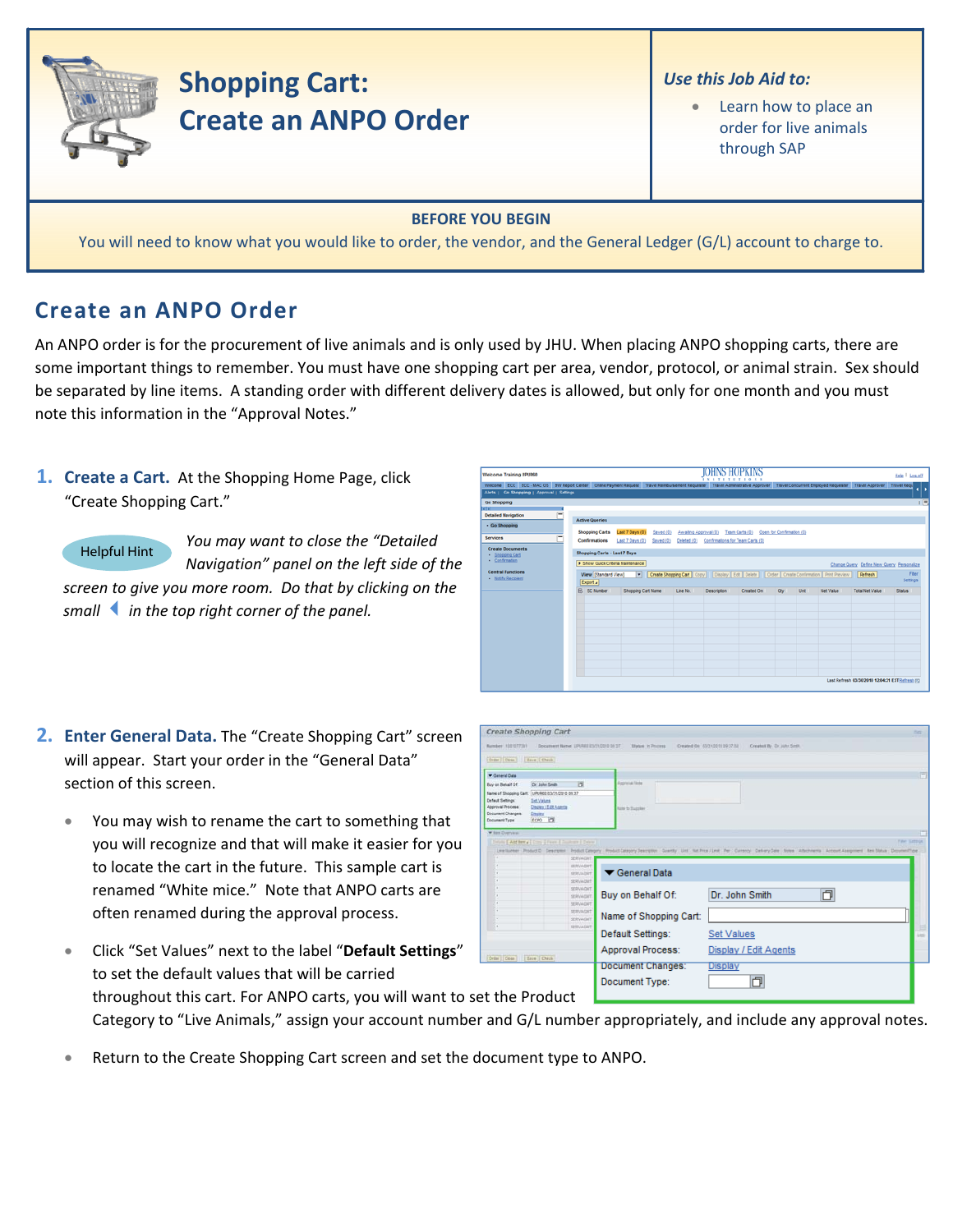

## **Shopping Cart: Create an ANPO Order**

## *Use this Job Aid to:*

Learn how to place an order for live animals through SAP

## **BEFORE YOU BEGIN**

You will need to know what you would like to order, the vendor, and the General Ledger (G/L) account to charge to.

## **Create an ANPO Order**

An ANPO order is for the procurement of live animals and is only used by JHU. When placing ANPO shopping carts, there are some important things to remember. You must have one shopping cart per area, vendor, protocol, or animal strain. Sex should be separated by line items. A standing order with different delivery dates is allowed, but only for one month and you must note this information in the "Approval Notes."

**1. Create a Cart.** At the Shopping Home Page, click "Create Shopping Cart."

*You may want to close the "Detailed Navigation" panel on the left side of the screen to give you more room. Do that by clicking on the smallin the top right corner of the panel.* Helpful Hint

| Welcome Training UPUR60                                                                                                                                                                                                                      |                                                                                                                        |                                                |                       | IOHNS HOPKINS<br><b>NETE</b>                 |                                                                                                         |                           |      |                  |                                                                           | Help   Log.off    |
|----------------------------------------------------------------------------------------------------------------------------------------------------------------------------------------------------------------------------------------------|------------------------------------------------------------------------------------------------------------------------|------------------------------------------------|-----------------------|----------------------------------------------|---------------------------------------------------------------------------------------------------------|---------------------------|------|------------------|---------------------------------------------------------------------------|-------------------|
| Welcome ECC ECC - MACOS BW Report Center Online Payment Request Travel Reimbursement Requester Travel Administrative Approver Travel Concurrent Employed Requester Travel Approver Travel Requ<br>Alerts   Go Shopping   Approval   Settings |                                                                                                                        |                                                |                       |                                              |                                                                                                         |                           |      |                  |                                                                           |                   |
| <b>Go Shopping</b><br>4 T 6 T<br>$\equiv$<br><b>Detailed Navigation</b><br>· Go Shopping<br><b>Services</b>                                                                                                                                  | <b>Active Queries</b><br><b>Shopping Carts</b>                                                                         | Last 7 Days (0)<br>Saved (0)                   | Awalting Approval (0) |                                              | Team Carts (0)                                                                                          | Open for Confirmation (0) |      |                  |                                                                           | 同                 |
| <b>Create Documents</b><br>- Shopping Cart<br>· Confirmation<br><b>Central Functions</b><br><b>Notify Recipient</b>                                                                                                                          | Confirmations<br>Shopping Carts - Last 7 Days<br>> Show Quick Criteria Maintenance<br>View [Standard View]<br>Export a | Last 7 Days (0)<br>Saved (0)<br>$\blacksquare$ |                       | Deleted (0) Confirmations for Team Carts (0) | Create Shopping Cart   Copy     Display   Edit   Delete     Order   Create Confirmation   Print Preview |                           |      |                  | Change Query Define New Query Personalize<br>Refresh                      | Fiter<br>Settings |
|                                                                                                                                                                                                                                              | <b>RR</b> SC Number                                                                                                    | Shopping Cart Name                             | Line No.              | <b>Description</b>                           | Created On                                                                                              | Oty                       | Unit | <b>Net Value</b> | <b>Total Net Value</b><br>Last Refresh 03/30/2010 12:04:31 EST Refresh FG | Status            |

- **2. Enter General Data.** The "Create Shopping Cart" screen will appear. Start your order in the "General Data" section of this screen.
	- You may wish to rename the cart to something that you will recognize and that will make it easier for you to locate the cart in the future. This sample cart is renamed "White mice." Note that ANPO carts are often renamed during the approval process.

|                                                                                                               | Create Shopping Cart                                                                                                                                 |                                                                  |                                                                                                                                                                                                                             | <b>Turn</b> |
|---------------------------------------------------------------------------------------------------------------|------------------------------------------------------------------------------------------------------------------------------------------------------|------------------------------------------------------------------|-----------------------------------------------------------------------------------------------------------------------------------------------------------------------------------------------------------------------------|-------------|
| Number 102107231                                                                                              | Document Name 191842 ESQ10310 05 ST                                                                                                                  | <b>Status</b> In Process                                         | Created On 1553100151937.ha<br>Created By Dr. John Smith                                                                                                                                                                    |             |
| Criter Close   Bave   Check                                                                                   |                                                                                                                                                      |                                                                  |                                                                                                                                                                                                                             |             |
| <b>V</b> General Data                                                                                         |                                                                                                                                                      |                                                                  |                                                                                                                                                                                                                             | G           |
| Buy on Behalf Of<br><b>Default Settings:</b><br>Approval Process<br><b>Document Changes</b><br>Document Type: | ы<br>Dr. John Smith<br>Name of Shopping Cart. UPURED 03/31/2310 09:37<br><b>Set Values</b><br><b>Cleanery I'll alt A senter</b><br>Dealer<br>ECPO TT | <b>Amphrical links</b><br>Arm to Success                         |                                                                                                                                                                                                                             |             |
| W Jan Dyenwic<br>×                                                                                            | Details   Antibony   Cons   Fasco   Desire   Details  <br><b>SERVAGAT</b><br><b>SERVADAT</b><br>SERUADIET<br><b>SERUADIE</b>                         | General Data                                                     | <b>Tiler Gattrick</b><br>Leathinger ProductO Cescrymin Product Campany Product Campany Description County Unit Net Proxi Leathing Par Commonly Central Campany Central Absolutes Account Assignment Rent Datus Decumenthism |             |
|                                                                                                               | SERVADNT<br>SERVAGET<br><b>SERVAGNT</b><br><b>SERVADAT</b><br>SERVADIT<br><b>SERVAGNT</b>                                                            | Buy on Behalf Of:<br>Name of Shopping Cart:<br>Default Settings: | O<br>Dr. John Smith<br><b>Set Values</b>                                                                                                                                                                                    | indi.       |
| Order   Cose                                                                                                  | Ease   Oath                                                                                                                                          | Approval Process:                                                | Display / Edit Agents                                                                                                                                                                                                       |             |

- Click "Set Values" next to the label "**Default Settings**" to set the default values that will be carried throughout this cart. For ANPO carts, you will want to set the Product
	- Category to "Live Animals," assign your account number and G/L number appropriately, and include any approval notes.
- Return to the Create Shopping Cart screen and set the document type to ANPO.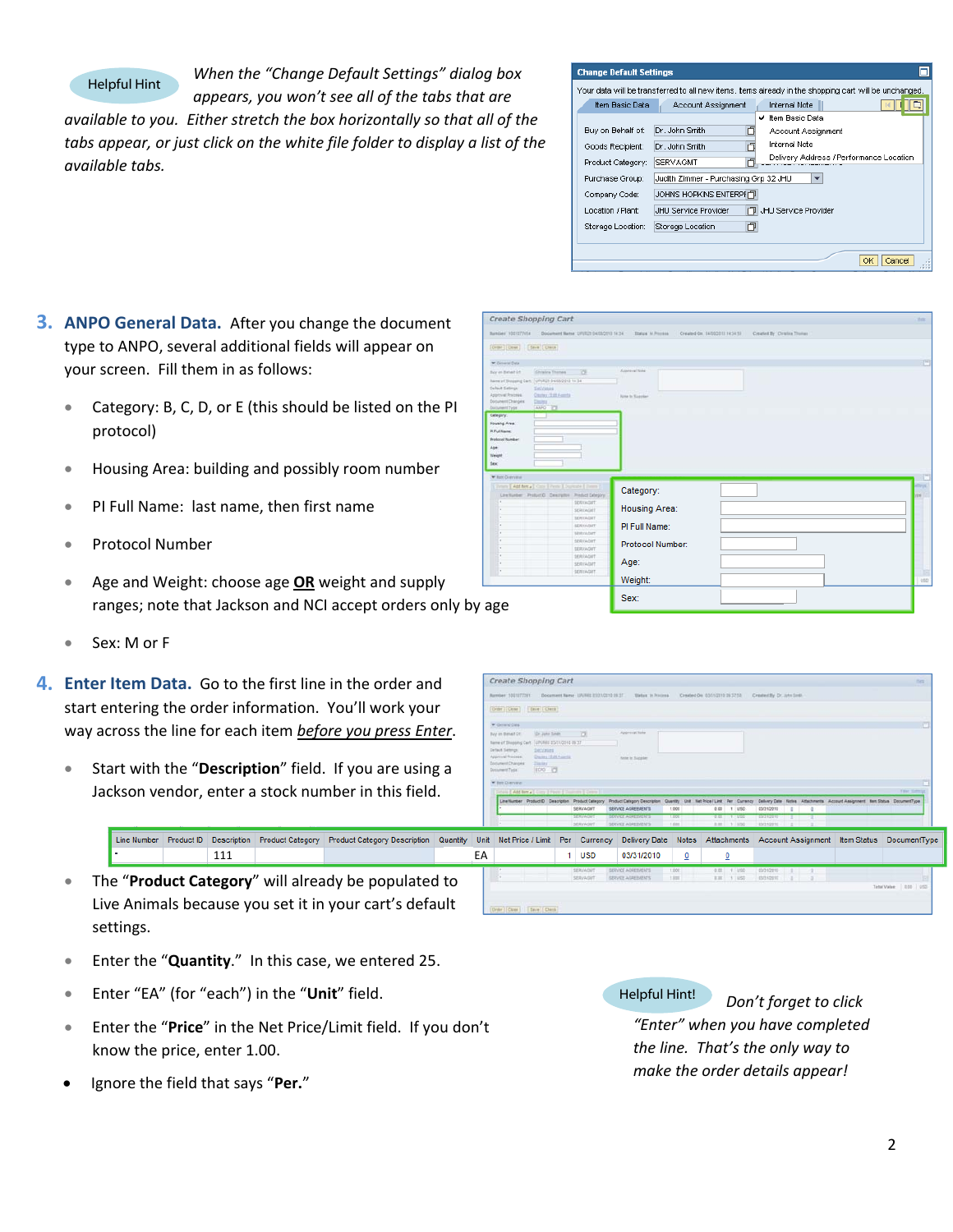Helpful Hint

*When the "Change Default Settings" dialog box*

*appears, you won't see all of the tabs that are available to you. Either stretch the box horizontally so that all of the tabs appear, or just click on the white file folder to display a list of the available tabs.*

| <b>Change Default Settings</b> |                                       |                                                                                                       |
|--------------------------------|---------------------------------------|-------------------------------------------------------------------------------------------------------|
|                                |                                       | Your data will be transferred to all new items, items already in the shopping cart will be unchanged. |
| Item Basic Data                | Account Assignment                    | <b>Internal Note</b>                                                                                  |
|                                |                                       | Item Basic Data<br>v                                                                                  |
| Buy on Behalf of:              | Dr. John Smith<br>n                   | Account Assignment                                                                                    |
| Goods Recipient:               | Dr. John Smith                        | <b>Internal Note</b>                                                                                  |
| Product Category:              | SERVAGMT                              | Delivery Address / Performance Location                                                               |
| Purchase Group:                | Judith Zimmer - Purchasing Grp 32 JHU | ▼                                                                                                     |
| Company Code:                  | JOHNS HOPKINS ENTERPHT                |                                                                                                       |
| Location / Plant:              | JHU Service Provider                  | JHU Service Provider                                                                                  |
| Storage Location:              | 门<br>Storage Location                 |                                                                                                       |
|                                |                                       | Cancel<br>OK                                                                                          |

- **3. ANPO General Data.** After you change the document type to ANPO, several additional fields will appear on your screen. Fill them in as follows:
	- Category: B, C, D, or E (this should be listed on the PI protocol)
	- Housing Area: building and possibly room number
	- PI Full Name: last name, then first name
	- Protocol Number
	- Age and Weight: choose age **OR** weight and supply ranges; note that Jackson and NCI accept orders only by age
	- Sex: M or F

settings.

- **4. Enter Item Data.** Go to the first line in the order an start entering the order information. You'll work you way across the line for each item *before* you press *Enteral* 
	- Start with the "Description" field. If you are using Jackson vendor, enter a stock number in this field

| [Orse] [Dear] [Save   Orest]                                                          |                                      |                         |  |
|---------------------------------------------------------------------------------------|--------------------------------------|-------------------------|--|
| * Determi Data                                                                        |                                      |                         |  |
| Christina Thomas<br>Suy an Behalf Of                                                  | $\overline{1}$                       | Approval Note           |  |
| Name of Shopping Cart. (UPURZ9 04/05/2012 14:34)                                      |                                      |                         |  |
| Debut Settings.<br><b>Set Virtues</b><br>Approvat Processe.<br>Clearber (1939 Avenue) |                                      | <b>None In Nagarier</b> |  |
| Document Changes:<br>Davis (                                                          |                                      |                         |  |
| AMPO THE<br><b>Electronic Type</b>                                                    |                                      |                         |  |
| Category:<br><b>Talling</b><br><b>Housing Area:</b>                                   |                                      |                         |  |
| <b>PLFull Name:</b>                                                                   |                                      |                         |  |
| Profocal Number                                                                       |                                      |                         |  |
|                                                                                       |                                      |                         |  |
| Age                                                                                   |                                      |                         |  |
| Weight                                                                                |                                      |                         |  |
| Sex:                                                                                  |                                      |                         |  |
| * lant Overview                                                                       |                                      |                         |  |
| Times   Add her a   Core   Perry   Durings   Times                                    |                                      |                         |  |
| Live Namber Product D. Description Product Delegacy                                   |                                      | Category:               |  |
|                                                                                       | <b>SERVADIST</b>                     |                         |  |
|                                                                                       | <b>SERVAGNIT</b>                     | <b>Housing Area:</b>    |  |
|                                                                                       | <b>SERVADIST</b>                     |                         |  |
|                                                                                       | <b>SERVAGIAT</b><br><b>SEXUAGIET</b> | PI Full Name:           |  |
|                                                                                       | SERVAGIST                            |                         |  |
|                                                                                       | SERVAGET                             | Protocol Number:        |  |
|                                                                                       | SERVAGNIT                            |                         |  |
| ×                                                                                     | <b>SERVADIT</b><br><b>SERVAGET</b>   | Age:                    |  |

| er Item Data. Go to the first line in the order and:                                                                          | <b>Create Shopping Cart</b><br>Created On 03/31/2019 29:37:58<br>Sociations Name - LPUNEE EV2 VCE10 08 3T.<br><b>Tistus</b> is finished<br>Created By Dr. John Sods.                                                                                                                                                                                                                                                                                                                                                                                                                                                               |
|-------------------------------------------------------------------------------------------------------------------------------|------------------------------------------------------------------------------------------------------------------------------------------------------------------------------------------------------------------------------------------------------------------------------------------------------------------------------------------------------------------------------------------------------------------------------------------------------------------------------------------------------------------------------------------------------------------------------------------------------------------------------------|
| t entering the order information. You'll work your                                                                            | Criter Cone   Cave   Check                                                                                                                                                                                                                                                                                                                                                                                                                                                                                                                                                                                                         |
| y across the line for each item before you press Enter.                                                                       | <b>W</b> General Data<br>Approvat Note<br>Dr. John Smith<br>Buy an Bahart Of<br>LIPLAGE ESQ10316 09:37<br>Name of Disposing Cart.<br>Default Sattings<br><b>Dat Values</b>                                                                                                                                                                                                                                                                                                                                                                                                                                                         |
| Start with the "Description" field. If you are using a<br>Jackson vendor, enter a stock number in this field.                 | Dazes / Edit Asarta<br><b>Azoroval Process</b><br><b>Saile In Suggler</b><br>Document Changes:<br><b>DAIRY</b><br><b>IDO OF</b><br>Document Type:<br>W first Distribute<br>trick CAMBING Corp 2 Form   Contemp   Corp.<br>Tillar Sellery<br>Line Number Product D Description Product Calegory Product Calegory Description<br>Delivery Date Notes, Attachments, Account Assignment, Bars Status, DocumentType,<br>Quantity Unit<br>SERVAGNT<br><b><i>SERVICE AGREEMENTS</i></b><br>1,000<br><b>STERN MAKER</b><br><b>ESNIK ENVIRONMENT</b><br>131 1100<br><b>SERVAGNT</b><br>7.028<br>$25312018$ $2 - 2 - 2$<br>SERVEY AGREEMENTS |
| <b>Product Category</b><br><b>Product Category Description</b><br>Product ID<br><b>Description</b><br>Line Number<br>Quantity | Attachments   Account Assignment   Item Status   DocumentType<br>Currency Delivery Date<br>Unit<br>Net Price / Limit<br><b>Notes</b><br>Per                                                                                                                                                                                                                                                                                                                                                                                                                                                                                        |
| 111                                                                                                                           | <b>USD</b><br>03/31/2010<br>EA<br>0<br>$\overline{\mathbf{0}}$                                                                                                                                                                                                                                                                                                                                                                                                                                                                                                                                                                     |
| The "Product Category" will already be populated to                                                                           | 03/31/2010<br>SERVADUT<br>SERVICE ADRESVENTS<br>1.000<br>0.00 1.100<br>SERVAGIAT<br>$-1.025$<br>138 1180<br>SERVER AGREEMENTS<br>EST12010<br><b>STATISTICS</b><br>Tehe Value 2.00 050                                                                                                                                                                                                                                                                                                                                                                                                                                              |

• Enter the "**Quantity**." In this case, we entered 25.

Live Animals because you set it in your cart's default

- Enter "EA" (for "each") in the "**Unit**" field.
- Enter the "**Price**" in the Net Price/Limit field. If you don't know the price, enter 1.00.
- Ignore the field that says "**Per.**"

Helpful Hint! *Don't forget to click "Enter" when you have completed the line. That's the only way to make the order details appear!*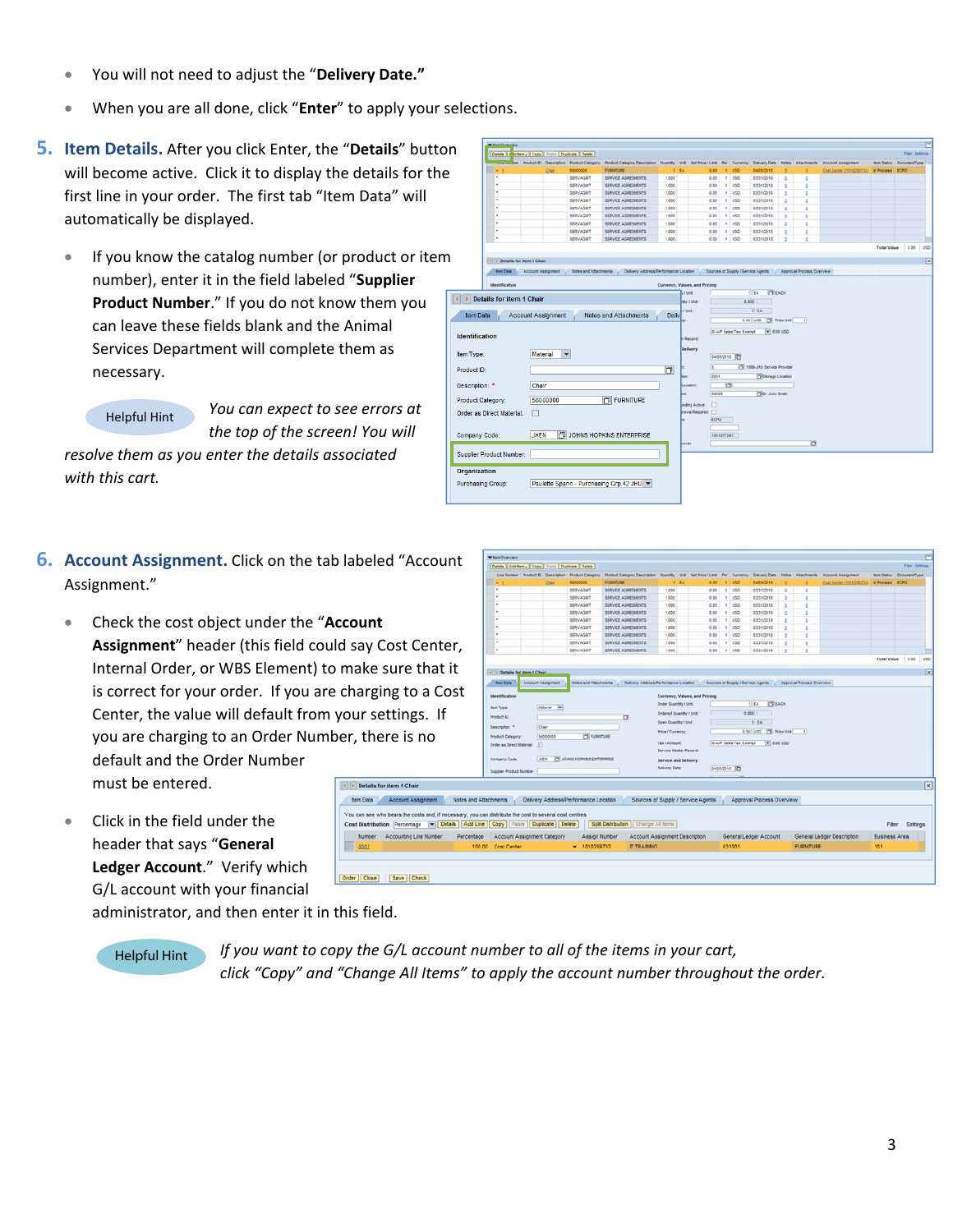- You will not need to adjust the "**Delivery Date."**
- When you are all done, click "**Enter**" to apply your selections.
- **5. Item Details.** After you click Enter, the "Details" button will become active. Click it to display the details for the first line in your order. The first tab "Item Data" will automatically be displayed.
	- If you know the catalog number (or product or iter number), enter it in the field labeled "**Supplier Product Number**." If you do not know them you can leave these fields blank and the Animal Services Department will complete them as necessary.

*You can expect to see errors at the top of the screen! You will resolve them as you enter the details associated with this cart.* Helpful Hint

- **6.** Account Assignment. Click on the tab labeled "Acco Assignment."
	- Check the cost object under the "**Account** Assignment" header (this field could say Cost Cen Internal Order, or WBS Element) to make sure tha is correct for your order. If you are charging to a Center, the value will default from your settings. you are charging to an Order Number, there is no default and the Order Number must be entered. Details for item 1 Chair

tem Data Account Assignme Cost Distribution Percentage Number Accounting Line Nu

Order Close Save Check

 $\overline{\phantom{a}}$  0001

• Click in the field under the header that says "**General Ledger Account**." Verify which G/L account with your financial

| on                                                 |                                                            |                           |                         |                                           |                |        |                                                       |            |                                               |                                                                     |         |                           |                           |                       |                         |     |
|----------------------------------------------------|------------------------------------------------------------|---------------------------|-------------------------|-------------------------------------------|----------------|--------|-------------------------------------------------------|------------|-----------------------------------------------|---------------------------------------------------------------------|---------|---------------------------|---------------------------|-----------------------|-------------------------|-----|
|                                                    | Details   A of ferm a   Copy   Fixers   Duplicate   Delete |                           |                         |                                           |                |        |                                                       |            |                                               |                                                                     |         |                           |                           |                       | Film Settings           |     |
|                                                    |                                                            | Product El Description    | <b>Product Category</b> | Product Category Description Guardty Unit |                |        | <b>Tiet Price / Limit</b>                             |            | Per Currency                                  | Delivery Date                                                       | fastes: | Atachherts                | <b>Account Assignment</b> |                       | ten Status DocumentType |     |
|                                                    | ٠<br>$\overline{\phantom{a}}$                              | <b>Chat</b>               | 56000000                | <b>FURNITURE</b>                          |                | 1.84   | 0.00                                                  |            | 1.45                                          | 04/05/2010                                                          |         |                           | Cost Carrier (1010200732) | <b>M Process ECPO</b> |                         |     |
|                                                    | ٠                                                          |                           | SERVAGUS<br>SERVAGMT    | SERVICE AGREEMENTS<br>SERVICE AGREEMENTS  | 1.000<br>1,000 |        | 0.05<br>0.08                                          |            | $T$ $1050$<br>$1 - 1050$                      | 03/31/2018<br>83/31/2018                                            | ٠       | t                         |                           |                       |                         |     |
|                                                    |                                                            |                           | SERVAGNT                | <b>SERVICE AGREEMENTS</b>                 | 1,000          |        | 0.00                                                  |            | $1$ $150$                                     | 02/31/2010                                                          | ٥<br>¢  |                           |                           |                       |                         |     |
|                                                    |                                                            |                           | <b>SERVAGNT</b>         | SERVICE AGREEMENTS                        | 1,000          |        | 0.00                                                  |            | $t$ $150$                                     | 63/31/2010                                                          | ٠       | t                         |                           |                       |                         |     |
|                                                    |                                                            |                           | <b>SERVAGN?</b>         | <b>SERVICE AGREEMENTS</b>                 | 1.000          |        | 0.00                                                  |            | $1 - 150$                                     | 01021010                                                            | ٠       |                           |                           |                       |                         |     |
|                                                    | ×                                                          |                           | <b>SERVAGN?</b>         | <b>SERVICE AGREEMENTS</b>                 | 1.000          |        | 0.00                                                  |            | 1.1050                                        | 03/31/2010                                                          | ï       |                           |                           |                       |                         |     |
|                                                    |                                                            |                           | <b>SERVAGNT</b>         | SERVICE AGREEMENTS                        | 1.000          |        | 0.00                                                  |            | 1.150                                         | 03/31/2018                                                          | ٠       |                           |                           |                       |                         |     |
|                                                    |                                                            |                           | SERVADAT                | SERVICE AGREEMENTS                        | 1.000          |        | 0.00                                                  |            | $T$ $1950$                                    | 03/31/2010                                                          | ï       |                           |                           |                       |                         |     |
|                                                    | ٠                                                          |                           | <b>SERVAQUI</b>         | SERVICE AGREEMENTS                        | 1,000          |        | 0.00                                                  |            | 1.950                                         | 01001038                                                            | ٠       |                           |                           |                       |                         |     |
|                                                    |                                                            |                           |                         |                                           |                |        |                                                       |            |                                               |                                                                     |         |                           |                           | <b>Total Value</b>    | 0.00                    | uso |
|                                                    | 1 1 Details for item 1 Chair                               |                           |                         |                                           |                |        |                                                       |            |                                               |                                                                     |         |                           |                           |                       |                         |     |
|                                                    |                                                            |                           |                         |                                           |                |        |                                                       |            |                                               |                                                                     |         |                           |                           |                       |                         |     |
|                                                    | <b>Barri Data</b>                                          | <b>Account Assignment</b> | Notes and Attachments   | Delivery Address/Performance Location     |                |        |                                                       |            |                                               | Sources of Supply / Service Agents                                  |         | Approval Process Overview |                           |                       |                         |     |
| <b>Identification</b><br>Item Type:<br>Product ID: |                                                            | <b>Material</b>           | $\blacktriangledown$    |                                           | n              |        | r Record<br>Delivery<br>匡<br>0001                     |            | G-A/P Sales Tax, Exempt<br><b>OUDSIDE ITS</b> | $= 0.00$ VSD<br>17 1099-240 Service Provider<br>Ci Storage Location |         |                           |                           |                       |                         |     |
| Description: *                                     |                                                            | Chair                     |                         |                                           |                |        | Academic<br>00000                                     | ы          |                                               | ITEM: John Green                                                    |         |                           |                           |                       |                         |     |
|                                                    | Product Category:<br>Order as Direct Material:             | 56000000<br>П             |                         | <b>FURNITURE</b>                          |                |        | $\Box$<br>mäng Active:<br>rival Required: [7]<br>ŁCFO |            |                                               |                                                                     |         |                           |                           |                       |                         |     |
| Company Code:                                      |                                                            | <b>JHEN</b>               |                         | JOHNS HOPKINS ENTERPRISE                  |                | rover. |                                                       | 1001077291 |                                               |                                                                     |         | ø                         |                           |                       |                         |     |
|                                                    | Supplier Product Number:                                   |                           |                         |                                           |                |        |                                                       |            |                                               |                                                                     |         |                           |                           |                       |                         |     |
| Organization                                       | <b>Purchasing Group:</b>                                   |                           |                         | Paulette Spann - Purchasing Grp 42 JHU ~  |                |        |                                                       |            |                                               |                                                                     |         |                           |                           |                       |                         |     |

| $\blacksquare$                  |                           |                              |                                                                                                                                           |                                                          |      |                               |                                    |                                 |                                    |        |                           |                           |                         |       |
|---------------------------------|---------------------------|------------------------------|-------------------------------------------------------------------------------------------------------------------------------------------|----------------------------------------------------------|------|-------------------------------|------------------------------------|---------------------------------|------------------------------------|--------|---------------------------|---------------------------|-------------------------|-------|
|                                 |                           |                              | Line Number Product El Description Product Category Product Category Description Guardty Unit Nat Price / Lint Per Currency Delivery Date |                                                          |      |                               |                                    |                                 |                                    |        | foles Atachherts          | <b>Account Assignment</b> | ten Status DocumentType |       |
|                                 | Chin                      | 16000000                     | <b>FURNITURE</b>                                                                                                                          |                                                          | t EA | 0.00                          |                                    | 1.050                           | 04/05/2010                         |        |                           | Cost Carrer (1010289732)  | <b>In Process ECPO</b>  |       |
|                                 |                           | SERVAGMT                     | SERVICE AGREEMENTS                                                                                                                        | 1.000                                                    |      | 0.00                          |                                    | $1 - 050$                       | 03/31/2010                         | ٠      | ×                         |                           |                         |       |
|                                 |                           | SERVAGM?                     | SERVICE AGREEMENTS                                                                                                                        | 1.000                                                    |      | 0.00                          |                                    | 1.055                           | 53/31/2018                         | ğ.     |                           |                           |                         |       |
|                                 |                           | SERVAGMT<br><b>SERVAGNY</b>  | SERVICE AGREEMENTS                                                                                                                        | 1.000                                                    |      | 0.00<br>0.00                  |                                    | $1$ $150$                       | 03/31/2010                         | g.     | ٠                         |                           |                         |       |
|                                 |                           | SERVAGNT                     | SERVICE AGREEMENTS<br>SERVICE AGREEMENTS                                                                                                  | 1.000<br>1,000                                           |      | 0.00                          |                                    | 1 850<br>$1 - 1/50$             | 03/31/2010<br>03/31/2010           | ٠<br>и |                           |                           |                         |       |
|                                 |                           | <b>SERVAGNT</b>              | SERVICE AGREEMENTS                                                                                                                        | 1,000                                                    |      | 0.00                          |                                    | $1 - 1/50$                      | 03/31/2010                         | g.     |                           |                           |                         |       |
|                                 |                           | <b>SERVAGNT</b>              | SERVICE AGREEMENTS                                                                                                                        | 1.000                                                    |      | 0.00                          |                                    | 1 1/30                          | 03/31/2010                         | s      |                           |                           |                         |       |
|                                 |                           | SERVAGNT                     | SERVICE AGREEMENTS                                                                                                                        | 1.000                                                    |      | 0.00                          |                                    | 1 150                           | 03/31/2010                         | ٠      | $\mathbb{R}$              |                           |                         |       |
|                                 |                           | SERVADNT                     | SERVICE AGREEMENTS                                                                                                                        | 1,000                                                    |      | 0.00                          |                                    | 1.050                           | 03/31/2010                         | ×      |                           |                           |                         |       |
|                                 |                           |                              |                                                                                                                                           |                                                          |      |                               |                                    |                                 |                                    |        |                           |                           | <b>Total Value</b>      | 10.00 |
|                                 |                           |                              |                                                                                                                                           |                                                          |      |                               |                                    |                                 |                                    |        |                           |                           |                         |       |
| (4) In Details for item 4 Chair |                           |                              |                                                                                                                                           |                                                          |      |                               |                                    |                                 |                                    |        |                           |                           |                         |       |
| <b><i><u>tem Data</u></i></b>   | <b>Account Assignment</b> | <b>Notes and Altachments</b> | Delivery Address/Ferformance Locator                                                                                                      |                                                          |      |                               |                                    |                                 | Sources of Supply / Service Agents |        | Approval Process Overview |                           |                         |       |
|                                 |                           |                              |                                                                                                                                           |                                                          |      |                               |                                    |                                 |                                    |        |                           |                           |                         |       |
| <b>Identification</b>           |                           |                              |                                                                                                                                           |                                                          |      | Currency, Values, and Pricing |                                    |                                 |                                    |        |                           |                           |                         |       |
| <b>Jam Type</b>                 | Material (w)              |                              |                                                                                                                                           | <b>Order Quantity / Unit</b><br>Ordered Quantity / Unit: |      |                               | <b>ITT</b> EACH<br>$1$ EA<br>2.000 |                                 |                                    |        |                           |                           |                         |       |
| Product D.                      |                           |                              | ö                                                                                                                                         |                                                          |      |                               |                                    |                                 |                                    |        |                           |                           |                         |       |
| Deacription: 11                 | Chair                     |                              |                                                                                                                                           | Open Quantity / Unit:                                    |      |                               |                                    |                                 | 1.14                               |        |                           |                           |                         |       |
|                                 |                           |                              |                                                                                                                                           | Price / Currency:                                        |      |                               |                                    |                                 | 0.00 USD IT Price Use              |        | $\left  \cdot \right $    |                           |                         |       |
| <b>Product Category</b>         | 56000000                  | <b>PSI</b> Furtesmane        |                                                                                                                                           | <b>Tex / Amount</b>                                      |      |                               |                                    | <b>G.A.P Sales Tax, Exercit</b> | $= 0.00190$                        |        |                           |                           |                         |       |
| Crder as Cirect Material:       | D                         |                              |                                                                                                                                           | Service Wester Record                                    |      |                               |                                    |                                 |                                    |        |                           |                           |                         |       |
| Company Code:                   | pen                       | CI JOHNS HOPKINS ENTERPRISE  |                                                                                                                                           | Service and Delivery                                     |      |                               |                                    |                                 |                                    |        |                           |                           |                         |       |
|                                 |                           |                              |                                                                                                                                           | Delivery Date:                                           |      |                               |                                    | GASSOS10 IT                     |                                    |        |                           |                           |                         |       |
| Supplier Product Number:        |                           |                              |                                                                                                                                           |                                                          |      |                               |                                    |                                 |                                    |        |                           |                           |                         |       |

administrator, and then enter it in this field.

Helpful Hint *If you want to copy the G/L account number to all of the items in your cart, click "Copy" and "Change All Items" to apply the account number throughout the order.*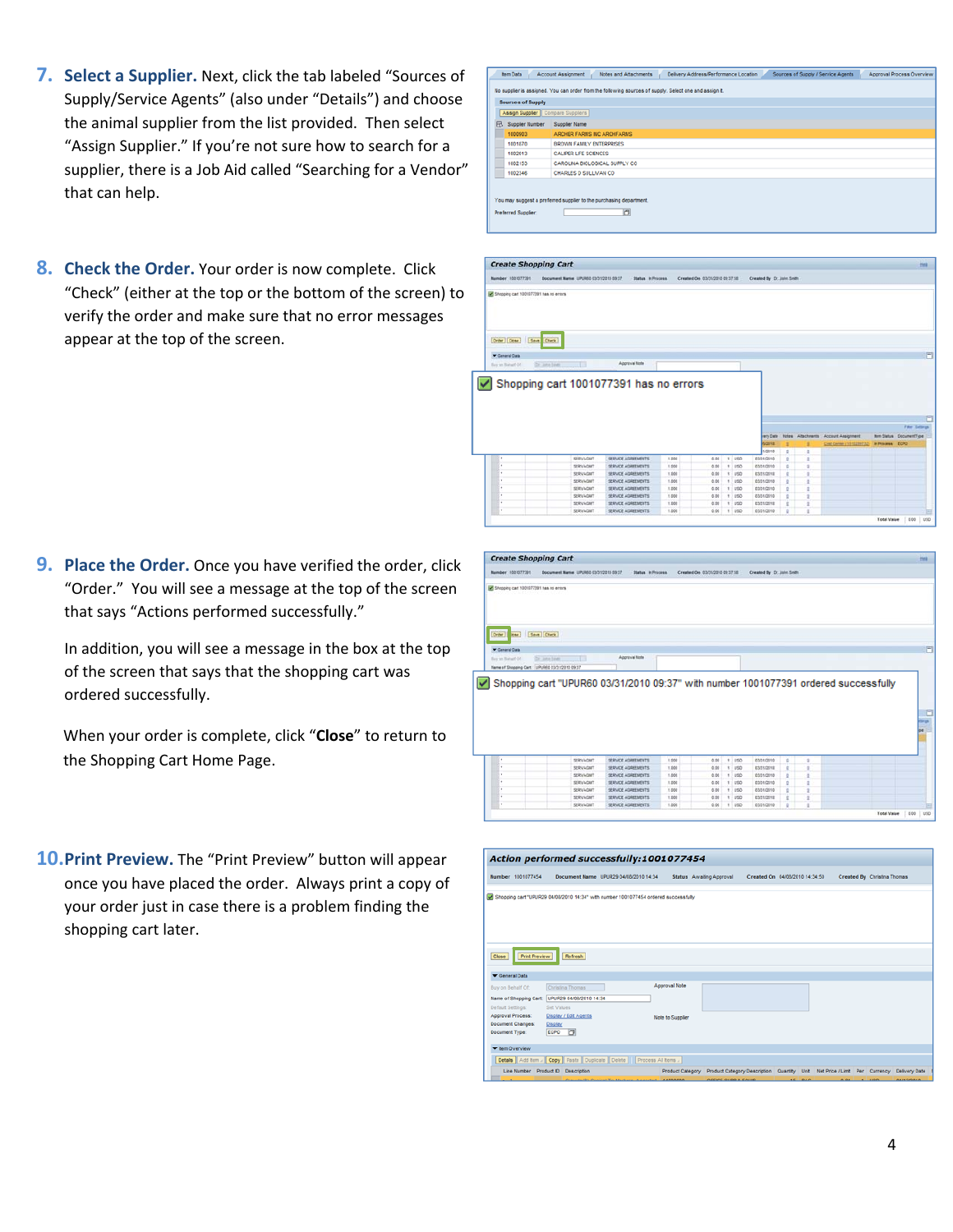- **7. Select a Supplier.** Next, click the tab labeled "Sources of Supply/Service Agents" (also under "Details") and choose the animal supplier from the list provided. Then select "Assign Supplier." If you're not sure how to search for a supplier, there is a Job Aid called "Searching for a Vendor" that can help.
- **8. Check the Order.** Your order is now complete. Click "Check" (either at the top or the bottom of the screen) to verify the order and make sure that no error messages appear at the top of the screen.

| B | Supplier Number | Supplier Name                 |
|---|-----------------|-------------------------------|
|   | 1000903         | ARCHER FARMS INC ARCHEARMS    |
|   | 1001870         | BROWN FAME Y ENTERPRISES      |
|   | 1002013         | <b>CALIPER LIFE SCIENCES</b>  |
|   | 1002153         | CAROLINA BIOLOGICAL SUPPLY CO |
|   | 1002346         | CHARLES D SULLIVAN CO.        |



**9. Place the Order.** Once you have verified the order, click "Order." You will see a message at the top of the screen that says "Actions performed successfully."

In addition, you will see a message in the box at the top of the screen that says that the shopping cart was ordered successfully.

When your order is complete, click "**Close**" to return to the Shopping Cart Home Page.

**10.Print Preview.** The "Print Preview" button will appear once you have placed the order. Always print a copy of your order just in case there is a problem finding the shopping cart later.



|                                             | Action performed successfully:1001077454                                            |                  |                                                                                                          |  |                             |  |
|---------------------------------------------|-------------------------------------------------------------------------------------|------------------|----------------------------------------------------------------------------------------------------------|--|-----------------------------|--|
| Number 1001077454                           | Document Name UPUR29 04/08/2010 14:34                                               |                  | Status Awaiting Approval<br>Created On 04/08/2010 14:34:50                                               |  | Created By Christina Thomas |  |
|                                             | Shopping cart "UPUR29 04/08/2010 14:34" with number 1001077454 ordered successfully |                  |                                                                                                          |  |                             |  |
|                                             |                                                                                     |                  |                                                                                                          |  |                             |  |
|                                             |                                                                                     |                  |                                                                                                          |  |                             |  |
| Close                                       | Print Preview<br>Refresh                                                            |                  |                                                                                                          |  |                             |  |
| General Data                                |                                                                                     |                  |                                                                                                          |  |                             |  |
| Buy on Behalf Of:                           | Christina Thomas                                                                    | Approval Note    |                                                                                                          |  |                             |  |
| Name of Shopping Cart:<br>Default Settings: | UPUR29 04/08/2010 14:34<br>Set Values                                               |                  |                                                                                                          |  |                             |  |
| Approval Process:                           | Display / Edit Agents                                                               | Note to Supplier |                                                                                                          |  |                             |  |
| Document Changes:<br>Document Type:         | <b>Display</b><br>ECPO O                                                            |                  |                                                                                                          |  |                             |  |
| <b>Them Overview</b>                        |                                                                                     |                  |                                                                                                          |  |                             |  |
|                                             | Details   Add item / Copy   Paste   Duplicate   Delete     Process All items /      |                  |                                                                                                          |  |                             |  |
|                                             | Line Number Product D Description                                                   |                  | Product Category Product Category Description Quantity Unit Net Price / Limit Per Currency Delivery Date |  |                             |  |